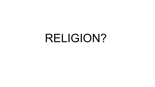# RELIGION?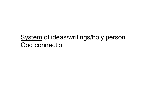#### System of ideas/writings/holy person... God connection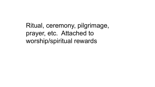Ritual, ceremony, pilgrimage, prayer, etc. Attached to worship/spiritual rewards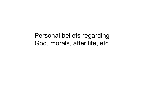Personal beliefs regarding God, morals, after life, etc.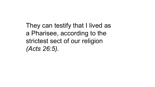They can testify that I lived as a Pharisee, according to the strictest sect of our religion *(Acts 26:5).*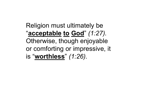Religion must ultimately be "**acceptable to God**" *(1:27).*  Otherwise, though enjoyable or comforting or impressive, it is "**worthless**" *(1:26).*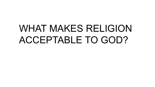## WHAT MAKES RELIGION ACCEPTABLE TO GOD?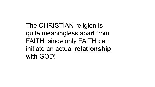The CHRISTIAN religion is quite meaningless apart from FAITH, since only FAITH can initiate an actual **relationship** with GOD!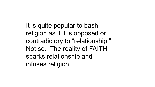It is quite popular to bash religion as if it is opposed or contradictory to "relationship." Not so. The reality of FAITH sparks relationship and infuses religion.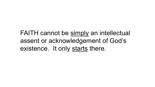FAITH cannot be simply an intellectual assent or acknowledgement of God's existence. It only starts there.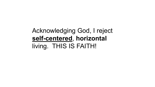#### Acknowledging God, I reject **self-centered**, **horizontal** living. THIS IS FAITH!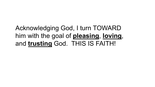### Acknowledging God, I turn TOWARD him with the goal of **pleasing**, **loving**, and **trusting** God. THIS IS FAITH!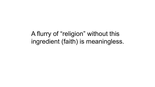A flurry of "religion" without this ingredient (faith) is meaningless.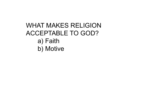### WHAT MAKES RELIGION ACCEPTABLE TO GOD? a) Faith b) Motive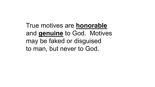True motives are **honorable** and **genuine** to God. Motives may be faked or disguised to man, but never to God.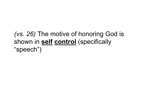### *(vs. 26)* The motive of honoring God is shown in **self control** (specifically "speech")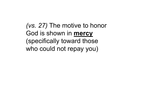*(vs. 27)* The motive to honor God is shown in **mercy** (specifically toward those who could not repay you)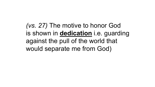*(vs. 27)* The motive to honor God is shown in **dedication** i.e. guarding against the pull of the world that would separate me from God)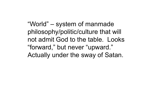"World" – system of manmade philosophy/politic/culture that will not admit God to the table. Looks "forward," but never "upward." Actually under the sway of Satan.